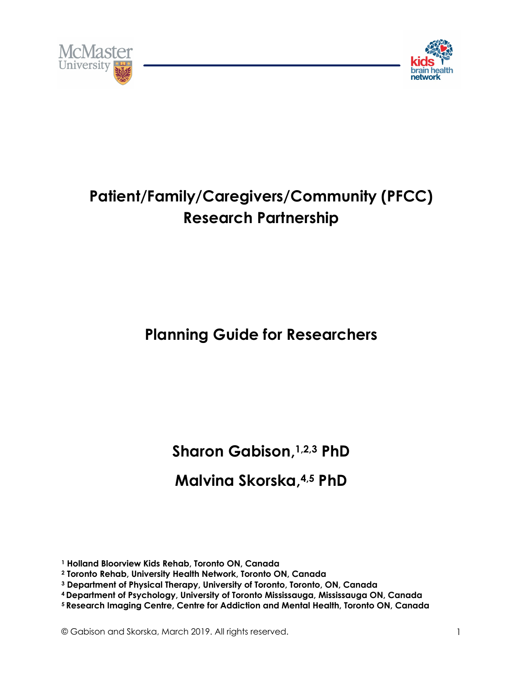



# **Patient/Family/Caregivers/Community (PFCC) Research Partnership**

# **Planning Guide for Researchers**

**Sharon Gabison, 1,2,3 PhD**

## **Malvina Skorska, 4,5 PhD**

**<sup>1</sup> Holland Bloorview Kids Rehab, Toronto ON, Canada** 

**<sup>2</sup> Toronto Rehab, University Health Network, Toronto ON, Canada** 

**<sup>3</sup> Department of Physical Therapy, University of Toronto, Toronto, ON, Canada**

**<sup>4</sup> Department of Psychology, University of Toronto Mississauga, Mississauga ON, Canada**

**<sup>5</sup> Research Imaging Centre, Centre for Addiction and Mental Health, Toronto ON, Canada**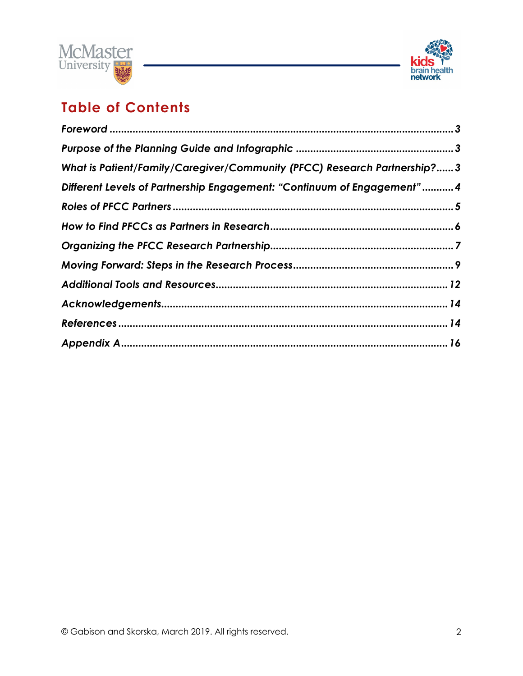



## **Table of Contents**

| What is Patient/Family/Caregiver/Community (PFCC) Research Partnership? 3 |  |
|---------------------------------------------------------------------------|--|
| Different Levels of Partnership Engagement: "Continuum of Engagement"4    |  |
|                                                                           |  |
|                                                                           |  |
|                                                                           |  |
|                                                                           |  |
|                                                                           |  |
|                                                                           |  |
|                                                                           |  |
|                                                                           |  |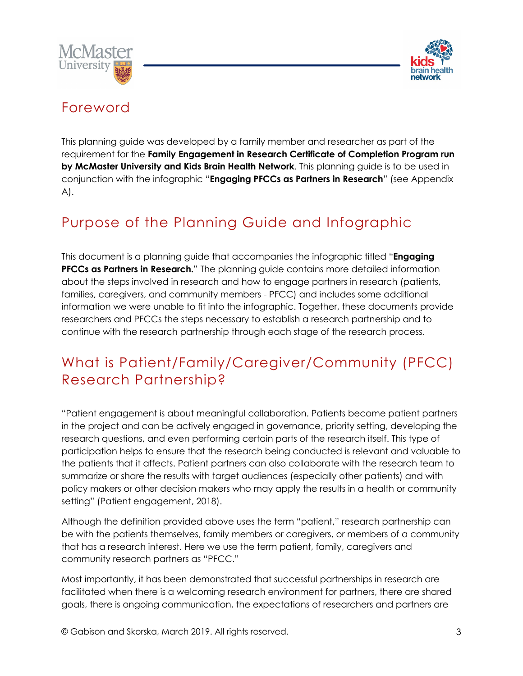



## Foreword

This planning guide was developed by a family member and researcher as part of the requirement for the **Family Engagement in Research Certificate of Completion Program run by McMaster University and Kids Brain Health Network**. This planning guide is to be used in conjunction with the infographic "**Engaging PFCCs as Partners in Research**" (see Appendix A).

## Purpose of the Planning Guide and Infographic

This document is a planning guide that accompanies the infographic titled "**Engaging PFCCs as Partners in Research.**" The planning guide contains more detailed information about the steps involved in research and how to engage partners in research (patients, families, caregivers, and community members - PFCC) and includes some additional information we were unable to fit into the infographic. Together, these documents provide researchers and PFCCs the steps necessary to establish a research partnership and to continue with the research partnership through each stage of the research process.

## What is Patient/Family/Caregiver/Community (PFCC) Research Partnership?

"Patient engagement is about meaningful collaboration. Patients become patient partners in the project and can be actively engaged in governance, priority setting, developing the research questions, and even performing certain parts of the research itself. This type of participation helps to ensure that the research being conducted is relevant and valuable to the patients that it affects. Patient partners can also collaborate with the research team to summarize or share the results with target audiences (especially other patients) and with policy makers or other decision makers who may apply the results in a health or community setting" (Patient engagement, 2018).

Although the definition provided above uses the term "patient," research partnership can be with the patients themselves, family members or caregivers, or members of a community that has a research interest. Here we use the term patient, family, caregivers and community research partners as "PFCC."

Most importantly, it has been demonstrated that successful partnerships in research are facilitated when there is a welcoming research environment for partners, there are shared goals, there is ongoing communication, the expectations of researchers and partners are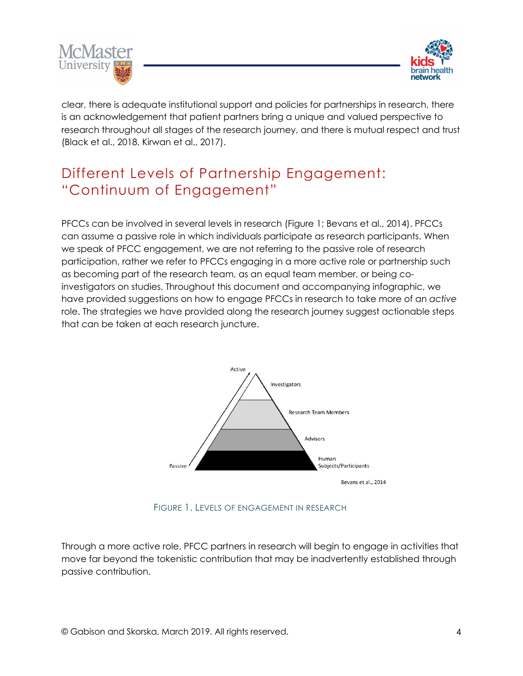



clear, there is adequate institutional support and policies for partnerships in research, there is an acknowledgement that patient partners bring a unique and valued perspective to research throughout all stages of the research journey, and there is mutual respect and trust (Black et al., 2018, Kirwan et al., 2017).

## Different Levels of Partnership Engagement: "Continuum of Engagement"

PFCCs can be involved in several levels in research (Figure 1; Bevans et al., 2014). PFCCs can assume a passive role in which individuals participate as research participants. When we speak of PFCC engagement, we are not referring to the passive role of research participation, rather we refer to PFCCs engaging in a more active role or partnership such as becoming part of the research team, as an equal team member, or being coinvestigators on studies. Throughout this document and accompanying infographic, we have provided suggestions on how to engage PFCCs in research to take more of an *active* role. The strategies we have provided along the research journey suggest actionable steps that can be taken at each research juncture.



FIGURE 1. LEVELS OF ENGAGEMENT IN RESEARCH

Through a more active role, PFCC partners in research will begin to engage in activities that move far beyond the tokenistic contribution that may be inadvertently established through passive contribution.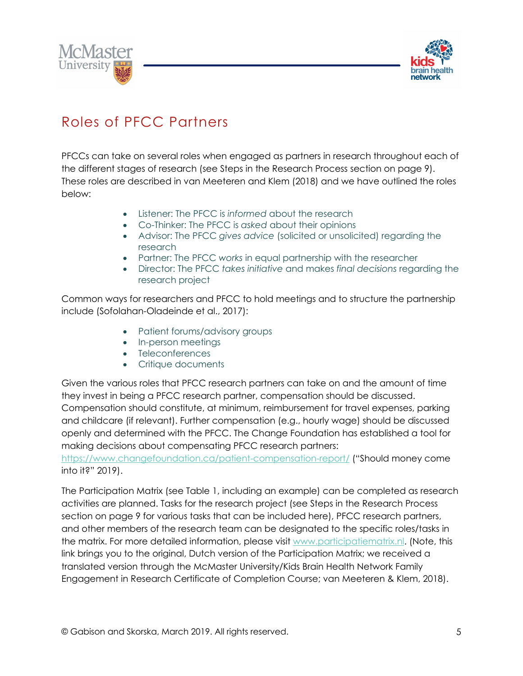



## Roles of PFCC Partners

PFCCs can take on several roles when engaged as partners in research throughout each of the different stages of research (see Steps in the Research Process section on page 9). These roles are described in van Meeteren and Klem (2018) and we have outlined the roles below:

- Listener: The PFCC is *informed* about the research
- Co-Thinker: The PFCC is *asked* about their opinions
- Advisor: The PFCC *gives advice* (solicited or unsolicited) regarding the research
- Partner: The PFCC *works* in equal partnership with the researcher
- Director: The PFCC *takes initiative* and makes *final decisions* regarding the research project

Common ways for researchers and PFCC to hold meetings and to structure the partnership include (Sofolahan-Oladeinde et al., 2017):

- Patient forums/advisory groups
- In-person meetings
- Teleconferences
- Critique documents

Given the various roles that PFCC research partners can take on and the amount of time they invest in being a PFCC research partner, compensation should be discussed. Compensation should constitute, at minimum, reimbursement for travel expenses, parking and childcare (if relevant). Further compensation (e.g., hourly wage) should be discussed openly and determined with the PFCC. The Change Foundation has established a tool for making decisions about compensating PFCC research partners:

https://www.changefoundation.ca/patient-compensation-report/ ("Should money come into it?" 2019).

The Participation Matrix (see Table 1, including an example) can be completed as research activities are planned. Tasks for the research project (see Steps in the Research Process section on page 9 for various tasks that can be included here), PFCC research partners, and other members of the research team can be designated to the specific roles/tasks in the matrix. For more detailed information, please visit www.participatiematrix.nl. (Note, this link brings you to the original, Dutch version of the Participation Matrix; we received a translated version through the McMaster University/Kids Brain Health Network Family Engagement in Research Certificate of Completion Course; van Meeteren & Klem, 2018).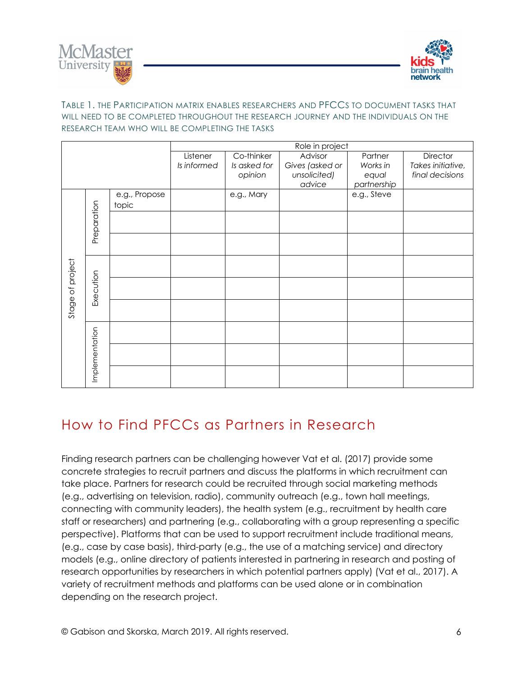



### TABLE 1. THE PARTICIPATION MATRIX ENABLES RESEARCHERS AND PFCCS TO DOCUMENT TASKS THAT WILL NEED TO BE COMPLETED THROUGHOUT THE RESEARCH JOURNEY AND THE INDIVIDUALS ON THE RESEARCH TEAM WHO WILL BE COMPLETING THE TASKS

|                  |                | Role in project        |                         |                                       |                                            |                              |                                                  |
|------------------|----------------|------------------------|-------------------------|---------------------------------------|--------------------------------------------|------------------------------|--------------------------------------------------|
|                  |                |                        | Listener<br>Is informed | Co-thinker<br>Is asked for<br>opinion | Advisor<br>Gives (asked or<br>unsolicited) | Partner<br>Works in<br>equal | Director<br>Takes initiative,<br>final decisions |
|                  |                |                        |                         |                                       | advice                                     | partnership                  |                                                  |
| Stage of project | Preparation    | e.g., Propose<br>topic |                         | e.g., Mary                            |                                            | e.g., Steve                  |                                                  |
|                  |                |                        |                         |                                       |                                            |                              |                                                  |
|                  |                |                        |                         |                                       |                                            |                              |                                                  |
|                  | Execution      |                        |                         |                                       |                                            |                              |                                                  |
|                  |                |                        |                         |                                       |                                            |                              |                                                  |
|                  |                |                        |                         |                                       |                                            |                              |                                                  |
|                  | Implementation |                        |                         |                                       |                                            |                              |                                                  |
|                  |                |                        |                         |                                       |                                            |                              |                                                  |
|                  |                |                        |                         |                                       |                                            |                              |                                                  |

## How to Find PFCCs as Partners in Research

Finding research partners can be challenging however Vat et al. (2017) provide some concrete strategies to recruit partners and discuss the platforms in which recruitment can take place. Partners for research could be recruited through social marketing methods (e.g., advertising on television, radio), community outreach (e.g., town hall meetings, connecting with community leaders), the health system (e.g., recruitment by health care staff or researchers) and partnering (e.g., collaborating with a group representing a specific perspective). Platforms that can be used to support recruitment include traditional means, (e.g., case by case basis), third-party (e.g., the use of a matching service) and directory models (e.g., online directory of patients interested in partnering in research and posting of research opportunities by researchers in which potential partners apply) (Vat et al., 2017). A variety of recruitment methods and platforms can be used alone or in combination depending on the research project.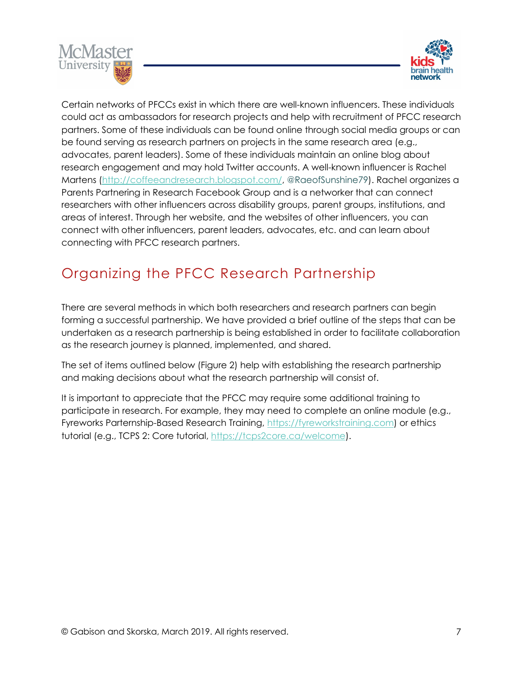



Certain networks of PFCCs exist in which there are well-known influencers. These individuals could act as ambassadors for research projects and help with recruitment of PFCC research partners. Some of these individuals can be found online through social media groups or can be found serving as research partners on projects in the same research area (e.g., advocates, parent leaders). Some of these individuals maintain an online blog about research engagement and may hold Twitter accounts. A well-known influencer is Rachel Martens (http://coffeeandresearch.blogspot.com/, @RaeofSunshine79). Rachel organizes a Parents Partnering in Research Facebook Group and is a networker that can connect researchers with other influencers across disability groups, parent groups, institutions, and areas of interest. Through her website, and the websites of other influencers, you can connect with other influencers, parent leaders, advocates, etc. and can learn about connecting with PFCC research partners.

## Organizing the PFCC Research Partnership

There are several methods in which both researchers and research partners can begin forming a successful partnership. We have provided a brief outline of the steps that can be undertaken as a research partnership is being established in order to facilitate collaboration as the research journey is planned, implemented, and shared.

The set of items outlined below (Figure 2) help with establishing the research partnership and making decisions about what the research partnership will consist of.

It is important to appreciate that the PFCC may require some additional training to participate in research. For example, they may need to complete an online module (e.g., Fyreworks Parternship-Based Research Training, https://fyreworkstraining.com) or ethics tutorial (e.g., TCPS 2: Core tutorial, https://tcps2core.ca/welcome).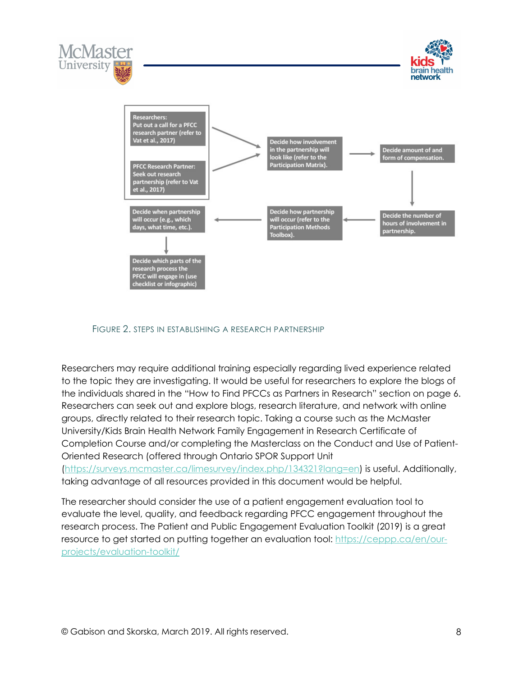





#### FIGURE 2. STEPS IN ESTABLISHING A RESEARCH PARTNERSHIP

Researchers may require additional training especially regarding lived experience related to the topic they are investigating. It would be useful for researchers to explore the blogs of the individuals shared in the "How to Find PFCCs as Partners in Research" section on page 6. Researchers can seek out and explore blogs, research literature, and network with online groups, directly related to their research topic. Taking a course such as the McMaster University/Kids Brain Health Network Family Engagement in Research Certificate of Completion Course and/or completing the Masterclass on the Conduct and Use of Patient-Oriented Research (offered through Ontario SPOR Support Unit (https://surveys.mcmaster.ca/limesurvey/index.php/134321?lang=en) is useful. Additionally, taking advantage of all resources provided in this document would be helpful.

The researcher should consider the use of a patient engagement evaluation tool to evaluate the level, quality, and feedback regarding PFCC engagement throughout the research process. The Patient and Public Engagement Evaluation Toolkit (2019) is a great resource to get started on putting together an evaluation tool: https://ceppp.ca/en/ourprojects/evaluation-toolkit/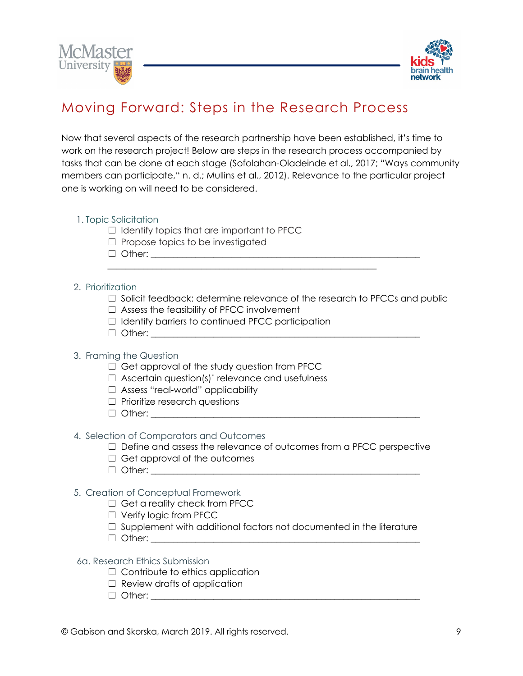



## Moving Forward: Steps in the Research Process

Now that several aspects of the research partnership have been established, it's time to work on the research project! Below are steps in the research process accompanied by tasks that can be done at each stage (Sofolahan-Oladeinde et al., 2017; "Ways community members can participate," n. d.; Mullins et al., 2012). Relevance to the particular project one is working on will need to be considered.

#### 1. Topic Solicitation

- ☐ Identify topics that are important to PFCC
- $\Box$  Propose topics to be investigated
- ☐ Other: \_\_\_\_\_\_\_\_\_\_\_\_\_\_\_\_\_\_\_\_\_\_\_\_\_\_\_\_\_\_\_\_\_\_\_\_\_\_\_\_\_\_\_\_\_\_\_\_\_\_\_\_\_\_\_\_\_\_\_\_

#### 2. Prioritization

- ☐ Solicit feedback: determine relevance of the research to PFCCs and public
- ☐ Assess the feasibility of PFCC involvement
- ☐ Identify barriers to continued PFCC participation

\_\_\_\_\_\_\_\_\_\_\_\_\_\_\_\_\_\_\_\_\_\_\_\_\_\_\_\_\_\_\_\_\_\_\_\_\_\_\_\_\_\_\_\_\_\_\_\_\_\_\_\_\_\_\_\_\_\_\_\_

 $\Box$  Other:

### 3. Framing the Question

- □ Get approval of the study question from PFCC
- $\Box$  Ascertain question(s)' relevance and usefulness
- ☐ Assess "real-world" applicability
- ☐ Prioritize research questions
- ☐ Other: \_\_\_\_\_\_\_\_\_\_\_\_\_\_\_\_\_\_\_\_\_\_\_\_\_\_\_\_\_\_\_\_\_\_\_\_\_\_\_\_\_\_\_\_\_\_\_\_\_\_\_\_\_\_\_\_\_\_\_\_

### 4. Selection of Comparators and Outcomes

- $\Box$  Define and assess the relevance of outcomes from a PFCC perspective
- $\Box$  Get approval of the outcomes
- $\Box$  Other:

### 5. Creation of Conceptual Framework

- $\Box$  Get a reality check from PFCC
- ☐ Verify logic from PFCC
- □ Supplement with additional factors not documented in the literature
- ☐ Other: \_\_\_\_\_\_\_\_\_\_\_\_\_\_\_\_\_\_\_\_\_\_\_\_\_\_\_\_\_\_\_\_\_\_\_\_\_\_\_\_\_\_\_\_\_\_\_\_\_\_\_\_\_\_\_\_\_\_\_\_

#### 6a. Research Ethics Submission

- □ Contribute to ethics application
- $\Box$  Review drafts of application
- ☐ Other: \_\_\_\_\_\_\_\_\_\_\_\_\_\_\_\_\_\_\_\_\_\_\_\_\_\_\_\_\_\_\_\_\_\_\_\_\_\_\_\_\_\_\_\_\_\_\_\_\_\_\_\_\_\_\_\_\_\_\_\_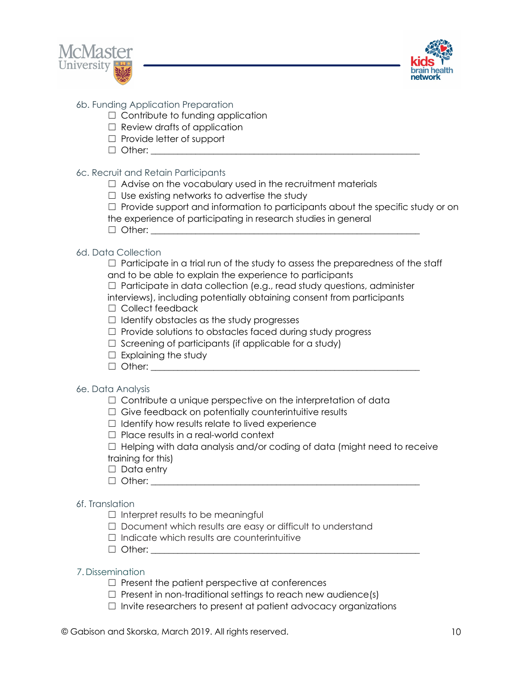



### 6b. Funding Application Preparation

- $\Box$  Contribute to funding application
- $\Box$  Review drafts of application
- ☐ Provide letter of support
- ☐ Other: \_\_\_\_\_\_\_\_\_\_\_\_\_\_\_\_\_\_\_\_\_\_\_\_\_\_\_\_\_\_\_\_\_\_\_\_\_\_\_\_\_\_\_\_\_\_\_\_\_\_\_\_\_\_\_\_\_\_\_\_

### 6c. Recruit and Retain Participants

- $\Box$  Advise on the vocabulary used in the recruitment materials
- $\Box$  Use existing networks to advertise the study
- $\Box$  Provide support and information to participants about the specific study or on
- the experience of participating in research studies in general
- $\Box$  Other:

### 6d. Data Collection

 $\Box$  Participate in a trial run of the study to assess the preparedness of the staff and to be able to explain the experience to participants

☐ Participate in data collection (e.g., read study questions, administer

interviews), including potentially obtaining consent from participants ☐ Collect feedback

- ☐ Identify obstacles as the study progresses
- $\Box$  Provide solutions to obstacles faced during study progress
- $\Box$  Screening of participants (if applicable for a study)
- $\Box$  Explaining the study
- $\Box$  Other:

## 6e. Data Analysis

- □ Contribute a unique perspective on the interpretation of data
- $\Box$  Give feedback on potentially counterintuitive results
- $\Box$  Identify how results relate to lived experience
- ☐ Place results in a real-world context

 $\Box$  Helping with data analysis and/or coding of data (might need to receive training for this)

- □ Data entry
- $\Box$  Other:

## 6f. Translation

- $\Box$  Interpret results to be meaningful
- □ Document which results are easy or difficult to understand
- ☐ Indicate which results are counterintuitive
- $\Box$  Other:

### 7. Dissemination

- $\Box$  Present the patient perspective at conferences
- $\Box$  Present in non-traditional settings to reach new audience(s)
- ☐ Invite researchers to present at patient advocacy organizations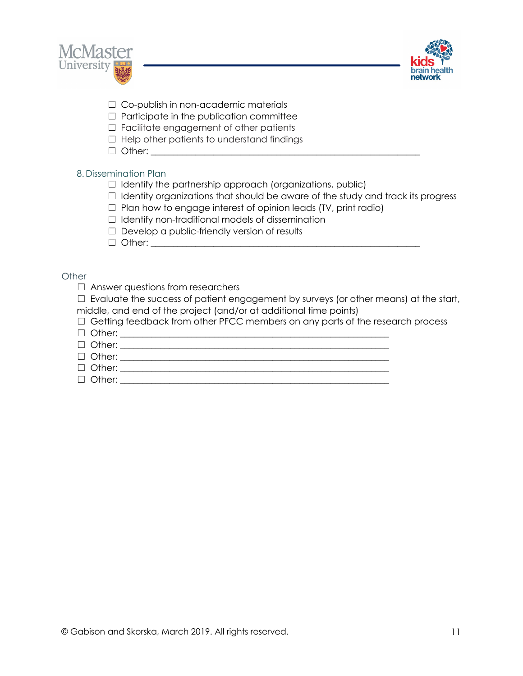



- □ Co-publish in non-academic materials
- $\Box$  Participate in the publication committee
- □ Facilitate engagement of other patients
- $\Box$  Help other patients to understand findings
- $\Box$  Other:

## 8. Dissemination Plan

- $\Box$  Identify the partnership approach (organizations, public)
- ☐ Identity organizations that should be aware of the study and track its progress
- $\Box$  Plan how to engage interest of opinion leads (TV, print radio)
- $\Box$  Identify non-traditional models of dissemination
- $\Box$  Develop a public-friendly version of results
- $\Box$  Other:

### **Other**

□ Answer questions from researchers

 $\Box$  Evaluate the success of patient engagement by surveys (or other means) at the start, middle, and end of the project (and/or at additional time points)

 $\Box$  Getting feedback from other PFCC members on any parts of the research process

- $\Box$  Other:
- ☐ Other: \_\_\_\_\_\_\_\_\_\_\_\_\_\_\_\_\_\_\_\_\_\_\_\_\_\_\_\_\_\_\_\_\_\_\_\_\_\_\_\_\_\_\_\_\_\_\_\_\_\_\_\_\_\_\_\_\_\_\_\_
- ☐ Other: \_\_\_\_\_\_\_\_\_\_\_\_\_\_\_\_\_\_\_\_\_\_\_\_\_\_\_\_\_\_\_\_\_\_\_\_\_\_\_\_\_\_\_\_\_\_\_\_\_\_\_\_\_\_\_\_\_\_\_\_
- ☐ Other: \_\_\_\_\_\_\_\_\_\_\_\_\_\_\_\_\_\_\_\_\_\_\_\_\_\_\_\_\_\_\_\_\_\_\_\_\_\_\_\_\_\_\_\_\_\_\_\_\_\_\_\_\_\_\_\_\_\_\_\_
- $\Box$  Other: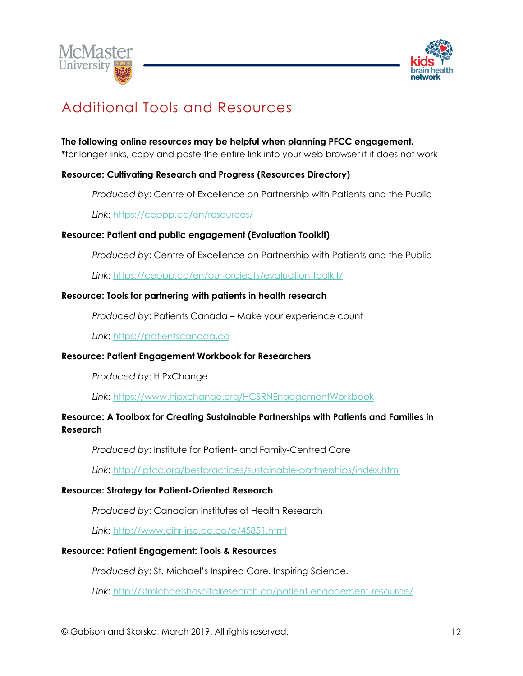



## Additional Tools and Resources

## **The following online resources may be helpful when planning PFCC engagement.**

\*for longer links, copy and paste the entire link into your web browser if it does not work

## **Resource: Cultivating Research and Progress (Resources Directory)**

*Produced by*: Centre of Excellence on Partnership with Patients and the Public

*Link*: https://ceppp.ca/en/resources/

### **Resource: Patient and public engagement (Evaluation Toolkit)**

*Produced by*: Centre of Excellence on Partnership with Patients and the Public

*Link*: https://ceppp.ca/en/our-projects/evaluation-toolkit/

### **Resource: Tools for partnering with patients in health research**

*Produced by*: Patients Canada – Make your experience count

*Link*: https://patientscanada.ca

### **Resource: Patient Engagement Workbook for Researchers**

*Produced by*: HIPxChange

*Link*: https://www.hipxchange.org/HCSRNEngagementWorkbook

## **Resource: A Toolbox for Creating Sustainable Partnerships with Patients and Families in Research**

*Produced by*: Institute for Patient- and Family-Centred Care

*Link*: http://ipfcc.org/bestpractices/sustainable-partnerships/index.html

### **Resource: Strategy for Patient-Oriented Research**

*Produced by*: Canadian Institutes of Health Research

*Link*: http://www.cihr-irsc.gc.ca/e/45851.html

### **Resource: Patient Engagement: Tools & Resources**

*Produced by*: St. Michael's Inspired Care. Inspiring Science.

*Link*: http://stmichaelshospitalresearch.ca/patient-engagement-resource/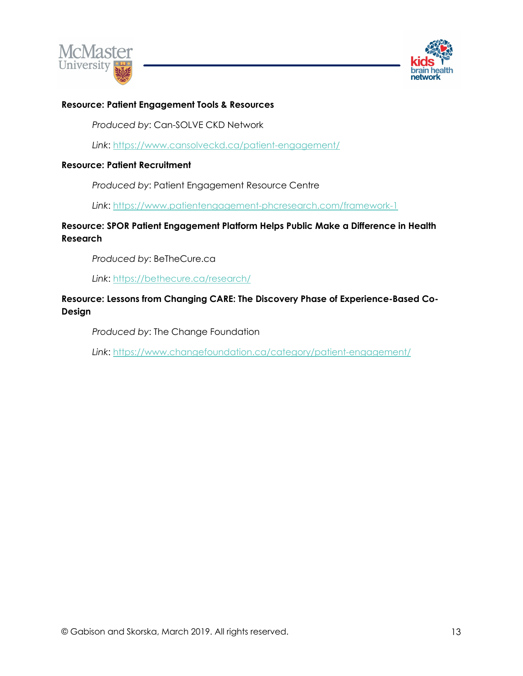



### **Resource: Patient Engagement Tools & Resources**

*Produced by*: Can-SOLVE CKD Network

*Link*: https://www.cansolveckd.ca/patient-engagement/

#### **Resource: Patient Recruitment**

*Produced by*: Patient Engagement Resource Centre

*Link*: https://www.patientengagement-phcresearch.com/framework-1

## **Resource: SPOR Patient Engagement Platform Helps Public Make a Difference in Health Research**

*Produced by*: BeTheCure.ca

*Link*: https://bethecure.ca/research/

### **Resource: Lessons from Changing CARE: The Discovery Phase of Experience-Based Co-Design**

*Produced by*: The Change Foundation

*Link*: https://www.changefoundation.ca/category/patient-engagement/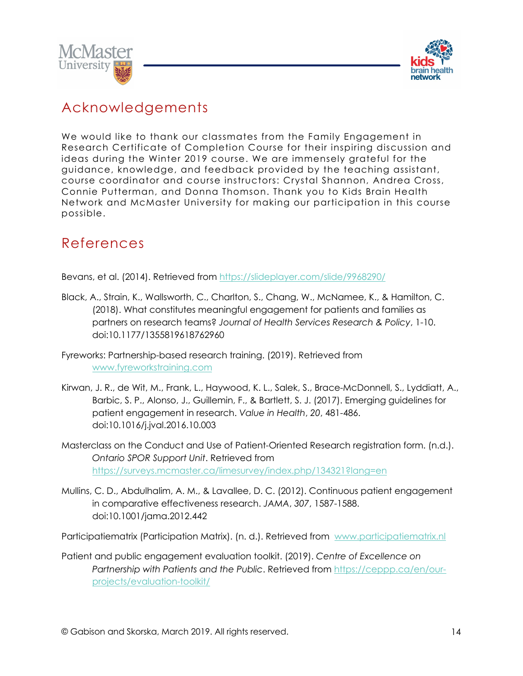



## Acknowledgements

We would like to thank our classmates from the Family Engagement in Research Certificate of Completion Course for their inspiring discussion and ideas during the Winter 2019 course. We are immensely grateful for the guidance, knowledge, and feedback provided by the teaching assistant, course coordinator and course instructors: Crystal Shannon, Andrea Cross, Connie Putterman, and Donna Thomson. Thank you to Kids Brain Health Network and McMaster University for making our participation in this course possible.

## References

Bevans, et al. (2014). Retrieved from https://slideplayer.com/slide/9968290/

- Black, A., Strain, K., Wallsworth, C., Charlton, S., Chang, W., McNamee, K., & Hamilton, C. (2018). What constitutes meaningful engagement for patients and families as partners on research teams? *Journal of Health Services Research & Policy*, 1-10. doi:10.1177/1355819618762960
- Fyreworks: Partnership-based research training. (2019). Retrieved from www.fyreworkstraining.com
- Kirwan, J. R., de Wit, M., Frank, L., Haywood, K. L., Salek, S., Brace-McDonnell, S., Lyddiatt, A., Barbic, S. P., Alonso, J., Guillemin, F., & Bartlett, S. J. (2017). Emerging guidelines for patient engagement in research. *Value in Health*, *20*, 481-486. doi:10.1016/j.jval.2016.10.003
- Masterclass on the Conduct and Use of Patient-Oriented Research registration form. (n.d.). *Ontario SPOR Support Unit*. Retrieved from https://surveys.mcmaster.ca/limesurvey/index.php/134321?lang=en
- Mullins, C. D., Abdulhalim, A. M., & Lavallee, D. C. (2012). Continuous patient engagement in comparative effectiveness research. *JAMA*, *307*, 1587-1588. doi:10.1001/jama.2012.442

Participatiematrix (Participation Matrix). (n. d.). Retrieved from www.participatiematrix.nl

Patient and public engagement evaluation toolkit. (2019). *Centre of Excellence on Partnership with Patients and the Public*. Retrieved from https://ceppp.ca/en/ourprojects/evaluation-toolkit/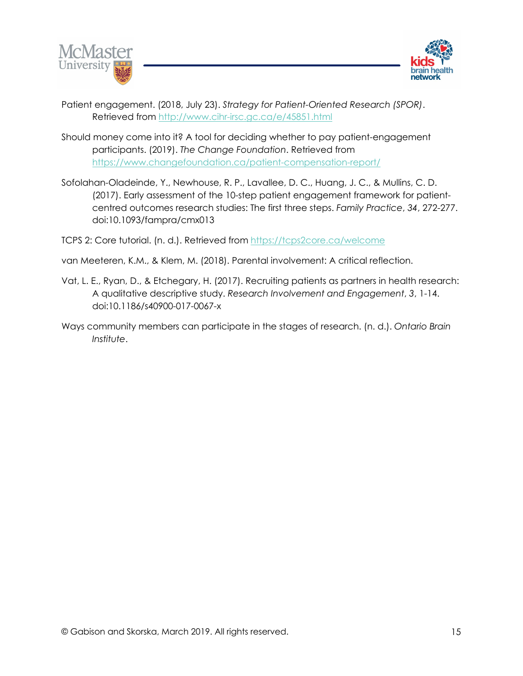



- Patient engagement. (2018, July 23). *Strategy for Patient-Oriented Research (SPOR)*. Retrieved from http://www.cihr-irsc.gc.ca/e/45851.html
- Should money come into it? A tool for deciding whether to pay patient-engagement participants. (2019). *The Change Foundation*. Retrieved from https://www.changefoundation.ca/patient-compensation-report/
- Sofolahan-Oladeinde, Y., Newhouse, R. P., Lavallee, D. C., Huang, J. C., & Mullins, C. D. (2017). Early assessment of the 10-step patient engagement framework for patientcentred outcomes research studies: The first three steps. *Family Practice*, *34*, 272-277. doi:10.1093/fampra/cmx013

TCPS 2: Core tutorial. (n. d.). Retrieved from https://tcps2core.ca/welcome

van Meeteren, K.M., & Klem, M. (2018). Parental involvement: A critical reflection.

- Vat, L. E., Ryan, D., & Etchegary, H. (2017). Recruiting patients as partners in health research: A qualitative descriptive study. *Research Involvement and Engagement*, *3*, 1-14. doi:10.1186/s40900-017-0067-x
- Ways community members can participate in the stages of research. (n. d.). *Ontario Brain Institute*.